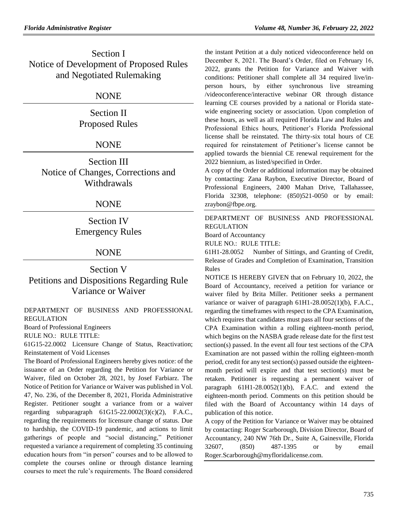Section I Notice of Development of Proposed Rules and Negotiated Rulemaking

# NONE

Section II Proposed Rules

# **NONE**

Section III Notice of Changes, Corrections and Withdrawals

# NONE

Section IV Emergency Rules

# NONE

Section V Petitions and Dispositions Regarding Rule Variance or Waiver

[DEPARTMENT OF BUSINESS AND PROFESSIONAL](https://www.flrules.org/gateway/department.asp?id=61)  [REGULATION](https://www.flrules.org/gateway/department.asp?id=61)

[Board of Professional Engineers](https://www.flrules.org/gateway/organization.asp?id=267)

RULE NO.: RULE TITLE:

[61G15-22.0002](https://www.flrules.org/gateway/ruleNo.asp?id=61G15-22.0002) Licensure Change of Status, Reactivation; Reinstatement of Void Licenses

The Board of Professional Engineers hereby gives notice: of the issuance of an Order regarding the Petition for Variance or Waiver, filed on October 28, 2021, by Josef Farbiarz. The Notice of Petition for Variance or Waiver was published in Vol. 47, No. 236, of the December 8, 2021, Florida Administrative Register. Petitioner sought a variance from or a waiver regarding subparagraph 61G15-22.0002(3)(c)(2), F.A.C., regarding the requirements for licensure change of status. Due to hardship, the COVID-19 pandemic, and actions to limit gatherings of people and "social distancing," Petitioner requested a variance a requirement of completing 35 continuing education hours from "in person" courses and to be allowed to complete the courses online or through distance learning courses to meet the rule's requirements. The Board considered the instant Petition at a duly noticed videoconference held on December 8, 2021. The Board's Order, filed on February 16, 2022, grants the Petition for Variance and Waiver with conditions: Petitioner shall complete all 34 required live/inperson hours, by either synchronous live streaming /videoconference/interactive webinar OR through distance learning CE courses provided by a national or Florida statewide engineering society or association. Upon completion of these hours, as well as all required Florida Law and Rules and Professional Ethics hours, Petitioner's Florida Professional license shall be reinstated. The thirty-six total hours of CE required for reinstatement of Petitioner's license cannot be applied towards the biennial CE renewal requirement for the 2022 biennium, as listed/specified in Order.

A copy of the Order or additional information may be obtained by contacting: Zana Raybon, Executive Director, Board of Professional Engineers, 2400 Mahan Drive, Tallahassee, Florida 32308, telephone: (850)521-0050 or by email: zraybon@fbpe.org.

[DEPARTMENT OF BUSINESS AND PROFESSIONAL](https://www.flrules.org/gateway/department.asp?id=61)  [REGULATION](https://www.flrules.org/gateway/department.asp?id=61)

[Board of Accountancy](https://www.flrules.org/gateway/organization.asp?id=280)

RULE NO.: RULE TITLE:

[61H1-28.0052](https://www.flrules.org/gateway/ruleNo.asp?id=61H1-28.0052) Number of Sittings, and Granting of Credit, Release of Grades and Completion of Examination, Transition Rules

NOTICE IS HEREBY GIVEN that on February 10, 2022, the Board of Accountancy, received a petition for variance or waiver filed by Brita Miller. Petitioner seeks a permanent variance or waiver of paragraph 61H1-28.0052(1)(b), F.A.C., regarding the timeframes with respect to the CPA Examination, which requires that candidates must pass all four sections of the CPA Examination within a rolling eighteen-month period, which begins on the NASBA grade release date for the first test section(s) passed. In the event all four test sections of the CPA Examination are not passed within the rolling eighteen-month period, credit for any test section(s) passed outside the eighteenmonth period will expire and that test section(s) must be retaken. Petitioner is requesting a permanent waiver of paragraph  $61H1-28.0052(1)(b)$ , F.A.C. and extend the eighteen-month period. Comments on this petition should be filed with the Board of Accountancy within 14 days of publication of this notice.

A copy of the Petition for Variance or Waiver may be obtained by contacting: Roger Scarborough, Division Director, Board of Accountancy, 240 NW 76th Dr., Suite A, Gainesville, Florida 32607, (850) 487-1395 or by email Roger.Scarborough@myfloridalicense.com.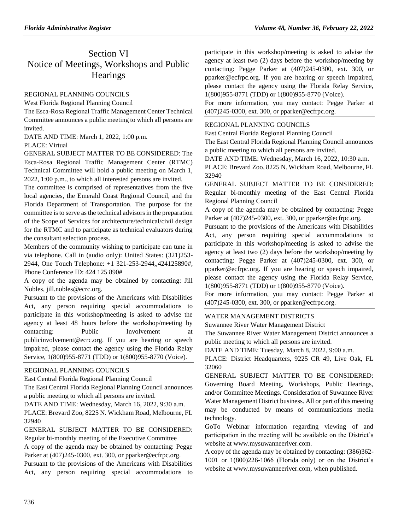# Section VI Notice of Meetings, Workshops and Public **Hearings**

## [REGIONAL PLANNING COUNCILS](https://www.flrules.org/gateway/department.asp?id=29)

[West Florida Regional Planning Council](https://www.flrules.org/gateway/organization.asp?id=57)

The Esca-Rosa Regional Traffic Management Center Technical Committee announces a public meeting to which all persons are invited.

DATE AND TIME: March 1, 2022, 1:00 p.m.

#### PLACE: Virtual

GENERAL SUBJECT MATTER TO BE CONSIDERED: The Esca-Rosa Regional Traffic Management Center (RTMC) Technical Committee will hold a public meeting on March 1, 2022, 1:00 p.m., to which all interested persons are invited.

The committee is comprised of representatives from the five local agencies, the Emerald Coast Regional Council, and the Florida Department of Transportation. The purpose for the committee is to serve as the technical advisors in the preparation of the Scope of Services for architecture/technical/civil design for the RTMC and to participate as technical evaluators during the consultant selection process.

Members of the community wishing to participate can tune in via telephone. Call in (audio only): United States: (321)253- 2944, One Touch Telephone: +1 321-253-2944,,424125890#, Phone Conference ID: 424 125 890#

A copy of the agenda may be obtained by contacting: Jill Nobles, jill.nobles@ecrc.org.

Pursuant to the provisions of the Americans with Disabilities Act, any person requiring special accommodations to participate in this workshop/meeting is asked to advise the agency at least 48 hours before the workshop/meeting by contacting: Public Involvement at publicinvolvement@ecrc.org. If you are hearing or speech impaired, please contact the agency using the Florida Relay Service, 1(800)955-8771 (TDD) or 1(800)955-8770 (Voice).

# [REGIONAL PLANNING COUNCILS](https://www.flrules.org/gateway/department.asp?id=29)

[East Central Florida Regional Planning Council](https://www.flrules.org/gateway/department.asp?id=40)

[The East Central Florida Regional Planning Council announces](https://www.flrules.org/gateway/department.asp?id=40)  [a public meeting to which all persons are invited.](https://www.flrules.org/gateway/department.asp?id=40)

[DATE AND TIME: Wednesday, March 16, 2022, 9:30 a.m.](https://www.flrules.org/gateway/department.asp?id=40)

[PLACE: Brevard Zoo, 8225 N. Wickham Road, Melbourne, FL](https://www.flrules.org/gateway/department.asp?id=40)  [32940](https://www.flrules.org/gateway/department.asp?id=40)

[GENERAL SUBJECT MATTER TO BE CONSIDERED:](https://www.flrules.org/gateway/department.asp?id=40) [Regular bi-monthly meeting of the Executive Committee](https://www.flrules.org/gateway/department.asp?id=40)

[A copy of the agenda may be obtained by contacting: Pegge](https://www.flrules.org/gateway/department.asp?id=40)  [Parker at \(407\)245-0300, ext. 300, or pparker@ecfrpc.org.](https://www.flrules.org/gateway/department.asp?id=40)

[Pursuant to the provisions of the Americans with Disabilities](https://www.flrules.org/gateway/department.asp?id=40)  [Act, any person requiring special accommodations to](https://www.flrules.org/gateway/department.asp?id=40)  [participate in this workshop/meeting is asked to advise the](https://www.flrules.org/gateway/department.asp?id=40)  [agency at least two \(2\) days before the workshop/meeting by](https://www.flrules.org/gateway/department.asp?id=40)  [contacting: Pegge Parker at \(407\)245-0300, ext. 300, or](https://www.flrules.org/gateway/department.asp?id=40)  [pparker@ecfrpc.org. If you are hearing or speech impaired,](https://www.flrules.org/gateway/department.asp?id=40)  [please contact the agency using the Florida Relay Service,](https://www.flrules.org/gateway/department.asp?id=40)  [1\(800\)955-8771 \(TDD\) or 1\(800\)955-8770 \(Voice\).](https://www.flrules.org/gateway/department.asp?id=40)

[For more information, you may contact: Pegge Parker at](https://www.flrules.org/gateway/department.asp?id=40)  [\(407\)245-0300, ext. 300, or pparker@ecfrpc.org.](https://www.flrules.org/gateway/department.asp?id=40)

# [REGIONAL PLANNING COUNCILS](https://www.flrules.org/gateway/department.asp?id=40)

[East Central Florida Regional Planning Council](https://www.flrules.org/gateway/organization.asp?id=62)

[The East Central Florida Regional Planning Council announces](https://www.flrules.org/gateway/department.asp?id=40)  [a public meeting to which all persons are invited.](https://www.flrules.org/gateway/department.asp?id=40)

[DATE AND TIME: Wednesday, March 16, 2022, 10:30 a.m.](https://www.flrules.org/gateway/department.asp?id=40)

[PLACE: Brevard Zoo, 8225 N. Wickham Road, Melbourne, FL](https://www.flrules.org/gateway/department.asp?id=40)  [32940](https://www.flrules.org/gateway/department.asp?id=40)

[GENERAL SUBJECT MATTER TO BE CONSIDERED:](https://www.flrules.org/gateway/department.asp?id=40)  [Regular bi-monthly meeting of the East Central Florida](https://www.flrules.org/gateway/department.asp?id=40)  [Regional Planning Council](https://www.flrules.org/gateway/department.asp?id=40)

[A copy of the agenda may be obtained by contacting: Pegge](https://www.flrules.org/gateway/department.asp?id=40)  [Parker at \(407\)245-0300, ext. 300, or pparker@ecfrpc.org.](https://www.flrules.org/gateway/department.asp?id=40)

[Pursuant to the provisions of the Americans with Disabilities](https://www.flrules.org/gateway/department.asp?id=40)  [Act, any person requiring special accommodations to](https://www.flrules.org/gateway/department.asp?id=40)  [participate in this workshop/meeting is asked to advise the](https://www.flrules.org/gateway/department.asp?id=40)  [agency at least two \(2\) days before the workshop/meeting by](https://www.flrules.org/gateway/department.asp?id=40)  [contacting: Pegge Parker at \(407\)245-0300, ext. 300, or](https://www.flrules.org/gateway/department.asp?id=40)  [pparker@ecfrpc.org. If you are hearing or speech impaired,](https://www.flrules.org/gateway/department.asp?id=40)  [please contact the agency using the Florida Relay Service,](https://www.flrules.org/gateway/department.asp?id=40)  [1\(800\)955-8771 \(TDD\) or 1\(800\)955-8770 \(Voice\).](https://www.flrules.org/gateway/department.asp?id=40)

[For more information, you may contact: Pegge Parker at](https://www.flrules.org/gateway/department.asp?id=40)  [\(407\)245-0300, ext. 300, or pparker@ecfrpc.org.](https://www.flrules.org/gateway/department.asp?id=40)

# [WATER MANAGEMENT DISTRICTS](https://www.flrules.org/gateway/department.asp?id=40)

[Suwannee River Water Management District](https://www.flrules.org/gateway/organization.asp?id=121)

The Suwannee River Water Management District announces a public meeting to which all persons are invited.

DATE AND TIME: Tuesday, March 8, 2022, 9:00 a.m.

PLACE: District Headquarters, 9225 CR 49, Live Oak, FL 32060

GENERAL SUBJECT MATTER TO BE CONSIDERED: Governing Board Meeting, Workshops, Public Hearings, and/or Committee Meetings. Consideration of Suwannee River Water Management District business. All or part of this meeting may be conducted by means of communications media technology.

GoTo Webinar information regarding viewing of and participation in the meeting will be available on the District's website at www.mysuwanneeriver.com.

A copy of the agenda may be obtained by contacting: (386)362- 1001 or 1(800)226-1066 (Florida only) or on the District's website at www.mysuwanneeriver.com, when published.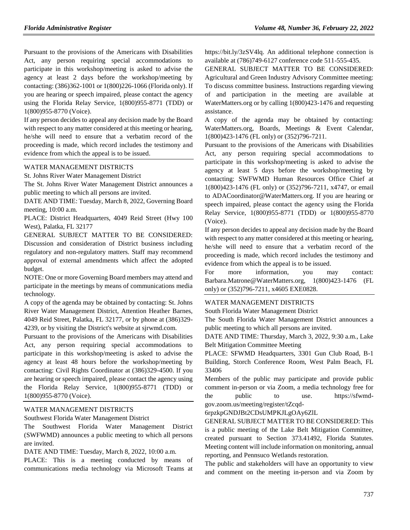Pursuant to the provisions of the Americans with Disabilities Act, any person requiring special accommodations to participate in this workshop/meeting is asked to advise the agency at least 2 days before the workshop/meeting by contacting: (386)362-1001 or 1(800)226-1066 (Florida only). If you are hearing or speech impaired, please contact the agency using the Florida Relay Service, 1(800)955-8771 (TDD) or 1(800)955-8770 (Voice).

If any person decides to appeal any decision made by the Board with respect to any matter considered at this meeting or hearing, he/she will need to ensure that a verbatim record of the proceeding is made, which record includes the testimony and evidence from which the appeal is to be issued.

#### [WATER MANAGEMENT DISTRICTS](https://www.flrules.org/gateway/department.asp?id=40)

St. [Johns River Water Management District](https://www.flrules.org/gateway/organization.asp?id=122)

The St. Johns River Water Management District announces a public meeting to which all persons are invited.

DATE AND TIME: Tuesday, March 8, 2022, Governing Board meeting, 10:00 a.m.

PLACE: District Headquarters, 4049 Reid Street (Hwy 100 West), Palatka, FL 32177

GENERAL SUBJECT MATTER TO BE CONSIDERED: Discussion and consideration of District business including regulatory and non-regulatory matters. Staff may recommend approval of external amendments which affect the adopted budget.

NOTE: One or more Governing Board members may attend and participate in the meetings by means of communications media technology.

A copy of the agenda may be obtained by contacting: St. Johns River Water Management District, Attention Heather Barnes, 4049 Reid Street, Palatka, FL 32177, or by phone at (386)329- 4239, or by visiting the District's website at sjrwmd.com.

Pursuant to the provisions of the Americans with Disabilities Act, any person requiring special accommodations to participate in this workshop/meeting is asked to advise the agency at least 48 hours before the workshop/meeting by contacting: Civil Rights Coordinator at (386)329-4500. If you are hearing or speech impaired, please contact the agency using the Florida Relay Service, 1(800)955-8771 (TDD) or 1(800)955-8770 (Voice).

#### [WATER MANAGEMENT DISTRICTS](https://www.flrules.org/gateway/department.asp?id=40)

[Southwest Florida Water Management District](https://www.flrules.org/gateway/organization.asp?id=123)

The Southwest Florida Water Management District (SWFWMD) announces a public meeting to which all persons are invited.

DATE AND TIME: Tuesday, March 8, 2022, 10:00 a.m.

PLACE: This is a meeting conducted by means of communications media technology via Microsoft Teams at https://bit.ly/3zSV4lq. An additional telephone connection is available at (786)749-6127 conference code 511-555-435.

GENERAL SUBJECT MATTER TO BE CONSIDERED: Agricultural and Green Industry Advisory Committee meeting: To discuss committee business. Instructions regarding viewing of and participation in the meeting are available at WaterMatters.org or by calling 1(800)423-1476 and requesting assistance.

A copy of the agenda may be obtained by contacting: WaterMatters.org, Boards, Meetings & Event Calendar, 1(800)423-1476 (FL only) or (352)796-7211.

Pursuant to the provisions of the Americans with Disabilities Act, any person requiring special accommodations to participate in this workshop/meeting is asked to advise the agency at least 5 days before the workshop/meeting by contacting: SWFWMD Human Resources Office Chief at 1(800)423-1476 (FL only) or (352)796-7211, x4747, or email to ADACoordinator@WaterMatters.org. If you are hearing or speech impaired, please contact the agency using the Florida Relay Service, 1(800)955-8771 (TDD) or 1(800)955-8770 (Voice).

If any person decides to appeal any decision made by the Board with respect to any matter considered at this meeting or hearing, he/she will need to ensure that a verbatim record of the proceeding is made, which record includes the testimony and evidence from which the appeal is to be issued.

For more information, you may contact: Barbara.Matrone@WaterMatters.org, 1(800)423-1476 (FL only) or (352)796-7211, x4605 EXE0828.

#### [WATER MANAGEMENT DISTRICTS](https://www.flrules.org/gateway/department.asp?id=40)

[South Florida Water Management District](https://www.flrules.org/gateway/organization.asp?id=124)

The South Florida Water Management District announces a public meeting to which all persons are invited.

DATE AND TIME: Thursday, March 3, 2022, 9:30 a.m., Lake Belt Mitigation Committee Meeting

PLACE: SFWMD Headquarters, 3301 Gun Club Road, B-1 Building, Storch Conference Room, West Palm Beach, FL 33406

Members of the public may participate and provide public comment in-person or via Zoom, a media technology free for the public to use. https://sfwmdgov.zoom.us/meeting/register/tZcqd-

6rpzkpGNDJBt2CDsUMPKJLgOAy6ZlL

GENERAL SUBJECT MATTER TO BE CONSIDERED: This is a public meeting of the Lake Belt Mitigation Committee, created pursuant to Section 373.41492, Florida Statutes. Meeting content will include information on monitoring, annual reporting, and Pennsuco Wetlands restoration.

The public and stakeholders will have an opportunity to view and comment on the meeting in-person and via Zoom by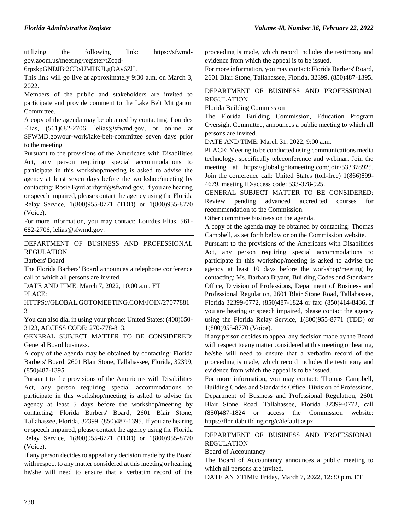utilizing the following link: https://sfwmdgov.zoom.us/meeting/register/tZcqd-

```
6rpzkpGNDJBt2CDsUMPKJLgOAy6ZlL
```
This link will go live at approximately 9:30 a.m. on March 3, 2022.

Members of the public and stakeholders are invited to participate and provide comment to the Lake Belt Mitigation Committee.

A copy of the agenda may be obtained by contacting: Lourdes Elias, (561)682-2706, lelias@sfwmd.gov, or online at SFWMD.gov/our-work/lake-belt-committee seven days prior to the meeting

Pursuant to the provisions of the Americans with Disabilities Act, any person requiring special accommodations to participate in this workshop/meeting is asked to advise the agency at least seven days before the workshop/meeting by contacting: Rosie Byrd at rbyrd@sfwmd.gov. If you are hearing or speech impaired, please contact the agency using the Florida Relay Service, 1(800)955-8771 (TDD) or 1(800)955-8770 (Voice).

For more information, you may contact: Lourdes Elias, 561- 682-2706, lelias@sfwmd.gov.

[DEPARTMENT OF BUSINESS AND PROFESSIONAL](https://www.flrules.org/gateway/department.asp?id=61)  [REGULATION](https://www.flrules.org/gateway/department.asp?id=61)

[Barbers' Board](https://www.flrules.org/gateway/organization.asp?id=273)

The Florida Barbers' Board announces a telephone conference call to which all persons are invited.

DATE AND TIME: March 7, 2022, 10:00 a.m. ET PLACE:

HTTPS://GLOBAL.GOTOMEETING.COM/JOIN/27077881 3

You can also dial in using your phone: United States: (408)650- 3123, ACCESS CODE: 270-778-813.

GENERAL SUBJECT MATTER TO BE CONSIDERED: General Board business.

A copy of the agenda may be obtained by contacting: Florida Barbers' Board, 2601 Blair Stone, Tallahassee, Florida, 32399, (850)487-1395.

Pursuant to the provisions of the Americans with Disabilities Act, any person requiring special accommodations to participate in this workshop/meeting is asked to advise the agency at least 5 days before the workshop/meeting by contacting: Florida Barbers' Board, 2601 Blair Stone, Tallahassee, Florida, 32399, (850)487-1395. If you are hearing or speech impaired, please contact the agency using the Florida Relay Service, 1(800)955-8771 (TDD) or 1(800)955-8770 (Voice).

If any person decides to appeal any decision made by the Board with respect to any matter considered at this meeting or hearing, he/she will need to ensure that a verbatim record of the

proceeding is made, which record includes the testimony and evidence from which the appeal is to be issued.

For more information, you may contact: Florida Barbers' Board, 2601 Blair Stone, Tallahassee, Florida, 32399, (850)487-1395.

# [DEPARTMENT OF BUSINESS AND PROFESSIONAL](https://www.flrules.org/gateway/department.asp?id=61)  [REGULATION](https://www.flrules.org/gateway/department.asp?id=61)

[Florida Building Commission](https://www.flrules.org/gateway/organization.asp?id=1071)

The Florida Building Commission, Education Program Oversight Committee, announces a public meeting to which all persons are invited.

DATE AND TIME: March 31, 2022, 9:00 a.m.

PLACE: Meeting to be conducted using communications media technology, specifically teleconference and webinar. Join the meeting at https://global.gotomeeting.com/join/533378925. Join the conference call: United States (toll-free) 1(866)899- 4679, meeting ID/access code: 533-378-925.

GENERAL SUBJECT MATTER TO BE CONSIDERED: Review pending advanced accredited courses for recommendation to the Commission.

Other committee business on the agenda.

A copy of the agenda may be obtained by contacting: Thomas Campbell, as set forth below or on the Commission website.

Pursuant to the provisions of the Americans with Disabilities Act, any person requiring special accommodations to participate in this workshop/meeting is asked to advise the agency at least 10 days before the workshop/meeting by contacting: Ms. Barbara Bryant, Building Codes and Standards Office, Division of Professions, Department of Business and Professional Regulation, 2601 Blair Stone Road, Tallahassee, Florida 32399-0772, (850)487-1824 or fax: (850)414-8436. If you are hearing or speech impaired, please contact the agency using the Florida Relay Service, 1(800)955-8771 (TDD) or 1(800)955-8770 (Voice).

If any person decides to appeal any decision made by the Board with respect to any matter considered at this meeting or hearing, he/she will need to ensure that a verbatim record of the proceeding is made, which record includes the testimony and evidence from which the appeal is to be issued.

For more information, you may contact: Thomas Campbell, Building Codes and Standards Office, Division of Professions, Department of Business and Professional Regulation, 2601 Blair Stone Road, Tallahassee, Florida 32399-0772, call (850)487-1824 or access the Commission website: https://floridabuilding.org/c/default.aspx.

# [DEPARTMENT OF BUSINESS AND PROFESSIONAL](https://www.flrules.org/gateway/department.asp?id=61)  [REGULATION](https://www.flrules.org/gateway/department.asp?id=61)

#### [Board of Accountancy](https://www.flrules.org/gateway/organization.asp?id=280)

The Board of Accountancy announces a public meeting to which all persons are invited.

DATE AND TIME: Friday, March 7, 2022, 12:30 p.m. ET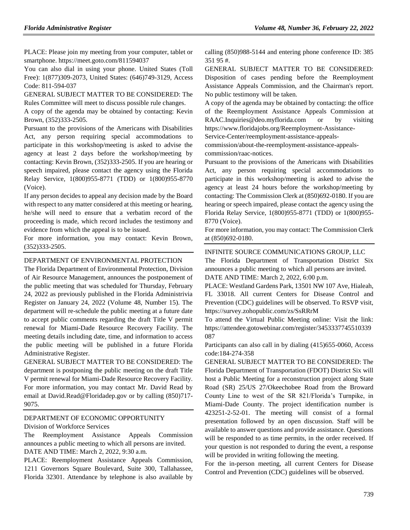PLACE: Please join my meeting from your computer, tablet or smartphone. https://meet.goto.com/811594037

You can also dial in using your phone. United States (Toll Free): 1(877)309-2073, United States: (646)749-3129, Access Code: 811-594-037

GENERAL SUBJECT MATTER TO BE CONSIDERED: The Rules Committee will meet to discuss possible rule changes.

A copy of the agenda may be obtained by contacting: Kevin Brown, (352)333-2505.

Pursuant to the provisions of the Americans with Disabilities Act, any person requiring special accommodations to participate in this workshop/meeting is asked to advise the agency at least 2 days before the workshop/meeting by contacting: Kevin Brown, (352)333-2505. If you are hearing or speech impaired, please contact the agency using the Florida Relay Service, 1(800)955-8771 (TDD) or 1(800)955-8770 (Voice).

If any person decides to appeal any decision made by the Board with respect to any matter considered at this meeting or hearing, he/she will need to ensure that a verbatim record of the proceeding is made, which record includes the testimony and evidence from which the appeal is to be issued.

For more information, you may contact: Kevin Brown, (352)333-2505.

#### DEPARTMENT OF ENVIRONMENTAL PROTECTION

The Florida Department of Environmental Protection, Division of Air Resource Management, announces the postponement of the public meeting that was scheduled for Thursday, February 24, 2022 as previously published in the Florida Administrivia Register on January 24, 2022 (Volume 48, Number 15). The department will re-schedule the public meeting at a future date to accept public comments regarding the draft Title V permit renewal for Miami-Dade Resource Recovery Facility. The meeting details including date, time, and information to access the public meeting will be published in a future Florida Administrative Register.

GENERAL SUBJECT MATTER TO BE CONSIDERED: The department is postponing the public meeting on the draft Title V permit renewal for Miami-Dade Resource Recovery Facility. For more information, you may contact Mr. David Read by email at [David.Read@Floridadep.gov](mailto:David.Read@Floridadep.gov) or by calling (850)717- 9075.

# [DEPARTMENT OF ECONOMIC OPPORTUNITY](https://www.flrules.org/gateway/department.asp?id=73)

[Division of Workforce Services](https://www.flrules.org/gateway/organization.asp?id=1065)

The Reemployment Assistance Appeals Commission announces a public meeting to which all persons are invited. DATE AND TIME: March 2, 2022, 9:30 a.m.

PLACE: Reemployment Assistance Appeals Commission, 1211 Governors Square Boulevard, Suite 300, Tallahassee, Florida 32301. Attendance by telephone is also available by calling (850)988-5144 and entering phone conference ID: 385 351 95 #.

GENERAL SUBJECT MATTER TO BE CONSIDERED: Disposition of cases pending before the Reemployment Assistance Appeals Commission, and the Chairman's report. No public testimony will be taken.

A copy of the agenda may be obtained by contacting: the office of the Reemployment Assistance Appeals Commission at RAAC.Inquiries@deo.myflorida.com or by visiting https://www.floridajobs.org/Reemployment-Assistance-

Service-Center/reemployment-assistance-appeals-

commission/about-the-reemployment-assistance-appealscommission/raac-notices.

Pursuant to the provisions of the Americans with Disabilities Act, any person requiring special accommodations to participate in this workshop/meeting is asked to advise the agency at least 24 hours before the workshop/meeting by contacting: The Commission Clerk at (850)692-0180. If you are hearing or speech impaired, please contact the agency using the Florida Relay Service, 1(800)955-8771 (TDD) or 1(800)955- 8770 (Voice).

For more information, you may contact: The Commission Clerk at (850)692-0180.

#### [INFINITE SOURCE COMMUNICATIONS GROUP, LLC](https://www.flrules.org/gateway/organization.asp?id=1035)

The Florida Department of Transportation District Six announces a public meeting to which all persons are invited. DATE AND TIME: March 2, 2022, 6:00 p.m.

PLACE: Westland Gardens Park, 13501 NW 107 Ave, Hialeah, FL 33018. All current Centers for Disease Control and Prevention (CDC) guidelines will be observed. To RSVP visit, https://survey.zohopublic.com/zs/SsRRrM

To attend the Virtual Public Meeting online: Visit the link: https://attendee.gotowebinar.com/register/3453337745510339 087

Participants can also call in by dialing (415)655-0060, Access code:184-274-358

GENERAL SUBJECT MATTER TO BE CONSIDERED: The Florida Department of Transportation (FDOT) District Six will host a Public Meeting for a reconstruction project along State Road (SR) 25/US 27/Okeechobee Road from the Broward County Line to west of the SR 821/Florida's Turnpike, in Miami-Dade County. The project identification number is 423251-2-52-01. The meeting will consist of a formal presentation followed by an open discussion. Staff will be available to answer questions and provide assistance. Questions will be responded to as time permits, in the order received. If your question is not responded to during the event, a response will be provided in writing following the meeting.

For the in-person meeting, all current Centers for Disease Control and Prevention (CDC) guidelines will be observed.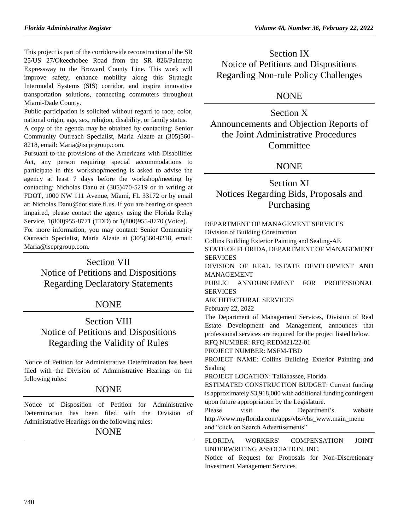This project is part of the corridorwide reconstruction of the SR 25/US 27/Okeechobee Road from the SR 826/Palmetto Expressway to the Broward County Line. This work will improve safety, enhance mobility along this Strategic Intermodal Systems (SIS) corridor, and inspire innovative transportation solutions, connecting commuters throughout Miami-Dade County.

Public participation is solicited without regard to race, color, national origin, age, sex, religion, disability, or family status.

A copy of the agenda may be obtained by contacting: Senior Community Outreach Specialist, Maria Alzate at (305)560- 8218, email: Maria@iscprgroup.com.

Pursuant to the provisions of the Americans with Disabilities Act, any person requiring special accommodations to participate in this workshop/meeting is asked to advise the agency at least 7 days before the workshop/meeting by contacting: Nicholas Danu at (305)470-5219 or in writing at FDOT, 1000 NW 111 Avenue, Miami, FL 33172 or by email at: Nicholas.Danu@dot.state.fl.us. If you are hearing or speech impaired, please contact the agency using the Florida Relay Service, 1(800)955-8771 (TDD) or 1(800)955-8770 (Voice).

For more information, you may contact: Senior Community Outreach Specialist, Maria Alzate at (305)560-8218, email: Maria@iscprgroup.com.

# Section VII

Notice of Petitions and Dispositions Regarding Declaratory Statements

# NONE

# Section VIII Notice of Petitions and Dispositions Regarding the Validity of Rules

Notice of Petition for Administrative Determination has been filed with the Division of Administrative Hearings on the following rules:

# NONE

Notice of Disposition of Petition for Administrative Determination has been filed with the Division of Administrative Hearings on the following rules:

# NONE

Section IX Notice of Petitions and Dispositions Regarding Non-rule Policy Challenges

# NONE

Section X Announcements and Objection Reports of the Joint Administrative Procedures Committee

# NONE

# Section XI Notices Regarding Bids, Proposals and Purchasing

[DEPARTMENT OF MANAGEMENT SERVICES](https://www.flrules.org/gateway/department.asp?id=60) [Division of Building Construction](https://www.flrules.org/gateway/organization.asp?id=225)

Collins Building Exterior Painting and Sealing-AE

STATE OF FLORIDA, DEPARTMENT OF MANAGEMENT SERVICES

DIVISION OF REAL ESTATE DEVELOPMENT AND MANAGEMENT

PUBLIC ANNOUNCEMENT FOR PROFESSIONAL SERVICES

ARCHITECTURAL SERVICES

February 22, 2022

The Department of Management Services, Division of Real Estate Development and Management, announces that professional services are required for the project listed below.

RFQ NUMBER: RFQ-REDM21/22-01 PROJECT NUMBER: MSFM-TBD

PROJECT NAME: Collins Building Exterior Painting and Sealing

PROJECT LOCATION: Tallahassee, Florida

ESTIMATED CONSTRUCTION BUDGET: Current funding is approximately \$3,918,000 with additional funding contingent upon future appropriation by the Legislature.

Please visit the Department's website http://www.myflorida.com/apps/vbs/vbs\_www.main\_menu and "click on Search Advertisements"

[FLORIDA WORKERS' COMPENSATION JOINT](https://www.flrules.org/gateway/organization.asp?id=757)  [UNDERWRITING ASSOCIATION, INC.](https://www.flrules.org/gateway/organization.asp?id=757)

Notice of Request for Proposals for Non-Discretionary Investment Management Services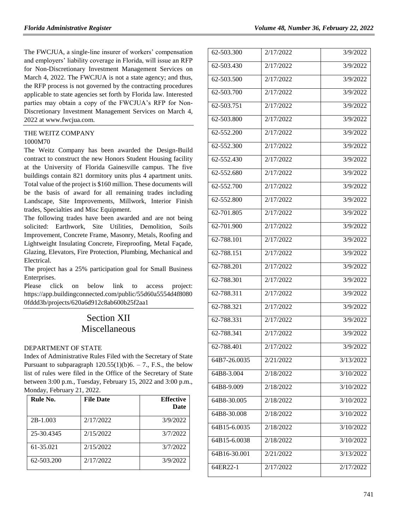The FWCJUA, a single-line insurer of workers' compensation and employers' liability coverage in Florida, will issue an RFP for Non-Discretionary Investment Management Services on March 4, 2022. The FWCJUA is not a state agency; and thus, the RFP process is not governed by the contracting procedures applicable to state agencies set forth by Florida law. Interested parties may obtain a copy of the FWCJUA's RFP for Non-Discretionary Investment Management Services on March 4, 2022 at [www.fwcjua.com.](http://www.fwcjua.com/)

# [THE WEITZ COMPANY](https://www.flrules.org/gateway/organization.asp?id=850)

## 1000M70

The Weitz Company has been awarded the Design-Build contract to construct the new Honors Student Housing facility at the University of Florida Gainesville campus. The five buildings contain 821 dormitory units plus 4 apartment units. Total value of the project is \$160 million. These documents will be the basis of award for all remaining trades including Landscape, Site Improvements, Millwork, Interior Finish trades, Specialties and Misc Equipment.

The following trades have been awarded and are not being solicited: Earthwork, Site Utilities, Demolition, Soils Improvement, Concrete Frame, Masonry, Metals, Roofing and Lightweight Insulating Concrete, Fireproofing, Metal Façade, Glazing, Elevators, Fire Protection, Plumbing, Mechanical and Electrical.

The project has a 25% participation goal for Small Business Enterprises.

Please click on below link to access project: [https://app.buildingconnected.com/public/55d60a5554d4f8080](https://app.buildingconnected.com/public/55d60a5554d4f80800fddd3b/projects/620a6d912c8ab600b25f2aa1) [0fddd3b/projects/620a6d912c8ab600b25f2aa1](https://app.buildingconnected.com/public/55d60a5554d4f80800fddd3b/projects/620a6d912c8ab600b25f2aa1)

# Section XII Miscellaneous

# [DEPARTMENT OF STATE](https://www.flrules.org/gateway/department.asp?id=1)

Index of Administrative Rules Filed with the Secretary of State Pursuant to subparagraph  $120.55(1)(b)6. - 7$ ., F.S., the below list of rules were filed in the Office of the Secretary of State between 3:00 p.m., Tuesday, February 15, 2022 and 3:00 p.m., Monday, February 21, 2022.

| Rule No.   | <b>File Date</b> | <b>Effective</b><br><b>Date</b> |
|------------|------------------|---------------------------------|
| 2B-1.003   | 2/17/2022        | 3/9/2022                        |
| 25-30.4345 | 2/15/2022        | 3/7/2022                        |
| 61-35.021  | 2/15/2022        | 3/7/2022                        |
| 62-503.200 | 2/17/2022        | 3/9/2022                        |

| 62-503.300   | 2/17/2022 | 3/9/2022  |
|--------------|-----------|-----------|
| 62-503.430   | 2/17/2022 | 3/9/2022  |
| 62-503.500   | 2/17/2022 | 3/9/2022  |
| 62-503.700   | 2/17/2022 | 3/9/2022  |
| 62-503.751   | 2/17/2022 | 3/9/2022  |
| 62-503.800   | 2/17/2022 | 3/9/2022  |
| 62-552.200   | 2/17/2022 | 3/9/2022  |
| 62-552.300   | 2/17/2022 | 3/9/2022  |
| 62-552.430   | 2/17/2022 | 3/9/2022  |
| 62-552.680   | 2/17/2022 | 3/9/2022  |
| 62-552.700   | 2/17/2022 | 3/9/2022  |
| 62-552.800   | 2/17/2022 | 3/9/2022  |
| 62-701.805   | 2/17/2022 | 3/9/2022  |
| 62-701.900   | 2/17/2022 | 3/9/2022  |
| 62-788.101   | 2/17/2022 | 3/9/2022  |
| 62-788.151   | 2/17/2022 | 3/9/2022  |
| 62-788.201   | 2/17/2022 | 3/9/2022  |
| 62-788.301   | 2/17/2022 | 3/9/2022  |
| 62-788.311   | 2/17/2022 | 3/9/2022  |
| 62-788.321   | 2/17/2022 | 3/9/2022  |
| 62-788.331   | 2/17/2022 | 3/9/2022  |
| 62-788.341   | 2/17/2022 | 3/9/2022  |
| 62-788.401   | 2/17/2022 | 3/9/2022  |
| 64B7-26.0035 | 2/21/2022 | 3/13/2022 |
| 64B8-3.004   | 2/18/2022 | 3/10/2022 |
| 64B8-9.009   | 2/18/2022 | 3/10/2022 |
| 64B8-30.005  | 2/18/2022 | 3/10/2022 |
| 64B8-30.008  | 2/18/2022 | 3/10/2022 |
| 64B15-6.0035 | 2/18/2022 | 3/10/2022 |
| 64B15-6.0038 | 2/18/2022 | 3/10/2022 |
| 64B16-30.001 | 2/21/2022 | 3/13/2022 |
| 64ER22-1     | 2/17/2022 | 2/17/2022 |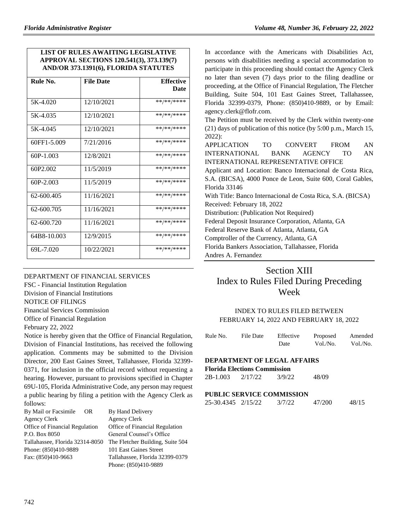# **LIST OF RULES AWAITING LEGISLATIVE APPROVAL SECTIONS 120.541(3), 373.139(7) AND/OR 373.1391(6), FLORIDA STATUTES**

| Rule No.    | <b>File Date</b> | <b>Effective</b><br>Date |
|-------------|------------------|--------------------------|
|             |                  |                          |
| 5K-4.020    | 12/10/2021       | **/**/****               |
| 5K-4.035    | 12/10/2021       | **/**/****               |
| 5K-4045     | 12/10/2021       | **/**/****               |
| 60FF1-5.009 | 7/21/2016        | **/**/****               |
| $60P-1.003$ | 12/8/2021        | **/**/****               |
| 60P2.002    | 11/5/2019        | **/**/****               |
| $60P-2.003$ | 11/5/2019        | **/**/****               |
| 62-600.405  | 11/16/2021       | **/**/****               |
| 62-600.705  | 11/16/2021       | **/**/****               |
| 62-600.720  | 11/16/2021       | **/**/****               |
| 64B8-10.003 | 12/9/2015        | **/**/****               |
| 69L-7.020   | 10/22/2021       | **/**/****               |

[DEPARTMENT OF FINANCIAL SERVICES](https://www.flrules.org/gateway/department.asp?id=69) FSC - [Financial Institution Regulation](https://www.flrules.org/gateway/organization.asp?id=523) Division of Financial Institutions NOTICE OF FILINGS Financial Services Commission

Office of Financial Regulation

February 22, 2022

Notice is hereby given that the Office of Financial Regulation, Division of Financial Institutions, has received the following application. Comments may be submitted to the Division Director, 200 East Gaines Street, Tallahassee, Florida 32399- 0371, for inclusion in the official record without requesting a hearing. However, pursuant to provisions specified in Chapter 69U-105, Florida Administrative Code, any person may request a public hearing by filing a petition with the Agency Clerk as follows:

| By Mail or Facsimile<br>OR.     | By Hand Delivery                 |
|---------------------------------|----------------------------------|
| <b>Agency Clerk</b>             | <b>Agency Clerk</b>              |
| Office of Financial Regulation  | Office of Financial Regulation   |
| P.O. Box 8050                   | General Counsel's Office         |
| Tallahassee, Florida 32314-8050 | The Fletcher Building, Suite 504 |
| Phone: (850)410-9889            | 101 East Gaines Street           |
| Fax: (850)410-9663              | Tallahassee, Florida 32399-0379  |
|                                 | Phone: (850)410-9889             |

In accordance with the Americans with Disabilities Act, persons with disabilities needing a special accommodation to participate in this proceeding should contact the Agency Clerk no later than seven (7) days prior to the filing deadline or proceeding, at the Office of Financial Regulation, The Fletcher Building, Suite 504, 101 East Gaines Street, Tallahassee, Florida 32399-0379, Phone: (850)410-9889, or by Email: agency.clerk@flofr.com.

The Petition must be received by the Clerk within twenty-one (21) days of publication of this notice (by 5:00 p.m., March 15, 2022):

APPLICATION TO CONVERT FROM AN INTERNATIONAL BANK AGENCY TO AN INTERNATIONAL REPRESENTATIVE OFFICE

Applicant and Location: Banco Internacional de Costa Rica, S.A. (BICSA), 4000 Ponce de Leon, Suite 600, Coral Gables, Florida 33146 With Title: Banco Internacional de Costa Rica, S.A. (BICSA)

Received: February 18, 2022

Distribution: (Publication Not Required)

Federal Deposit Insurance Corporation, Atlanta, GA

Federal Reserve Bank of Atlanta, Atlanta, GA

Comptroller of the Currency, Atlanta, GA

Florida Bankers Association, Tallahassee, Florida

Andres A. Fernandez

# Section XIII Index to Rules Filed During Preceding Week

## INDEX TO RULES FILED BETWEEN FEBRUARY 14, 2022 AND FEBRUARY 18, 2022

| Rule No. | File Date | Effective | Proposed | Amended  |
|----------|-----------|-----------|----------|----------|
|          |           | Date      | Vol./No. | Vol./No. |

# **DEPARTMENT OF LEGAL AFFAIRS**

**Florida Elections Commission**

| 2B-1.003 | 2/17/22 | 3/9/22 | 48/09 |
|----------|---------|--------|-------|
|          |         |        |       |

#### **PUBLIC SERVICE COMMISSION**

|  | 25-30.4345 2/15/22 | 3/7/22 | 47/200 | 48/15 |
|--|--------------------|--------|--------|-------|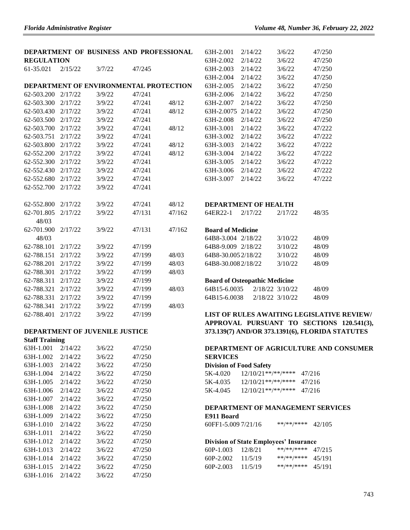|                       |         | DEPARTMENT OF BUSINESS AND PROFESSIONAL |        |        | 63H-2.001          |
|-----------------------|---------|-----------------------------------------|--------|--------|--------------------|
| <b>REGULATION</b>     |         |                                         |        |        | 63H-2.002          |
| 61-35.021             | 2/15/22 | 3/7/22                                  | 47/245 |        | 63H-2.003          |
|                       |         |                                         |        |        | 63H-2.004          |
|                       |         | DEPARTMENT OF ENVIRONMENTAL PROTECTION  |        |        | 63H-2.005          |
| 62-503.200            | 2/17/22 | 3/9/22                                  | 47/241 |        | 63H-2.006          |
| 62-503.300            | 2/17/22 | 3/9/22                                  | 47/241 | 48/12  | 63H-2.007          |
| 62-503.430            | 2/17/22 | 3/9/22                                  | 47/241 | 48/12  | 63H-2.007:         |
| 62-503.500            | 2/17/22 | 3/9/22                                  | 47/241 |        | 63H-2.008          |
| 62-503.700            | 2/17/22 | 3/9/22                                  | 47/241 | 48/12  | 63H-3.001          |
| 62-503.751            | 2/17/22 | 3/9/22                                  | 47/241 |        | 63H-3.002          |
| 62-503.800            | 2/17/22 | 3/9/22                                  | 47/241 | 48/12  | 63H-3.003          |
| 62-552.200            | 2/17/22 | 3/9/22                                  | 47/241 | 48/12  | 63H-3.004          |
| 62-552.300            | 2/17/22 | 3/9/22                                  | 47/241 |        | 63H-3.005          |
| 62-552.430            | 2/17/22 | 3/9/22                                  | 47/241 |        | 63H-3.006          |
| 62-552.680            | 2/17/22 | 3/9/22                                  | 47/241 |        | 63H-3.007          |
| 62-552.700            | 2/17/22 | 3/9/22                                  | 47/241 |        |                    |
|                       |         |                                         |        |        |                    |
| 62-552.800            | 2/17/22 | 3/9/22                                  | 47/241 | 48/12  | <b>DEPARTM</b>     |
| 62-701.805            | 2/17/22 | 3/9/22                                  | 47/131 | 47/162 | 64ER22-1           |
| 48/03                 |         |                                         |        |        |                    |
| 62-701.900            | 2/17/22 | 3/9/22                                  | 47/131 | 47/162 | <b>Board of N</b>  |
| 48/03                 |         |                                         |        |        | 64B8-3.004         |
| 62-788.101            | 2/17/22 | 3/9/22                                  | 47/199 |        | 64B8-9.009         |
| 62-788.151            | 2/17/22 | 3/9/22                                  | 47/199 | 48/03  | 64B8-30.00         |
| 62-788.201            | 2/17/22 | 3/9/22                                  | 47/199 | 48/03  | 64B8-30.00         |
| 62-788.301            | 2/17/22 | 3/9/22                                  | 47/199 | 48/03  |                    |
| 62-788.311            | 2/17/22 | 3/9/22                                  | 47/199 |        | <b>Board of C</b>  |
| 62-788.321            | 2/17/22 | 3/9/22                                  | 47/199 | 48/03  | 64B15-6.00         |
| 62-788.331            | 2/17/22 | 3/9/22                                  | 47/199 |        | 64B15-6.00         |
| 62-788.341            | 2/17/22 | 3/9/22                                  | 47/199 | 48/03  |                    |
| 62-788.401            | 2/17/22 | 3/9/22                                  | 47/199 |        | <b>LIST OF I</b>   |
|                       |         |                                         |        |        | <b>APPROVA</b>     |
|                       |         | DEPARTMENT OF JUVENILE JUSTICE          |        |        | 373.139(7)         |
| <b>Staff Training</b> |         |                                         |        |        |                    |
| 63H-1.001             | 2/14/22 | 3/6/22                                  | 47/250 |        | <b>DEPARTM</b>     |
| 63H-1.002             | 2/14/22 | 3/6/22                                  | 47/250 |        | <b>SERVICE</b>     |
| 63H-1.003             | 2/14/22 | 3/6/22                                  | 47/250 |        | Division of        |
| 63H-1.004             | 2/14/22 | 3/6/22                                  | 47/250 |        | 5K-4.020           |
| 63H-1.005             | 2/14/22 | 3/6/22                                  | 47/250 |        | 5K-4.035           |
| 63H-1.006             | 2/14/22 | 3/6/22                                  | 47/250 |        | 5K-4.045           |
| 63H-1.007             | 2/14/22 | 3/6/22                                  | 47/250 |        |                    |
| 63H-1.008             | 2/14/22 | 3/6/22                                  | 47/250 |        | <b>DEPARTM</b>     |
| 63H-1.009             | 2/14/22 | 3/6/22                                  | 47/250 |        | E911 Boar          |
| 63H-1.010             | 2/14/22 | 3/6/22                                  | 47/250 |        | 60FF1-5.00         |
| 63H-1.011             | 2/14/22 | 3/6/22                                  | 47/250 |        |                    |
| 63H-1.012             | 2/14/22 | 3/6/22                                  | 47/250 |        | <b>Division of</b> |
| 63H-1.013             | 2/14/22 | 3/6/22                                  | 47/250 |        | 60P-1.003          |
| 63H-1.014             | 2/14/22 | 3/6/22                                  | 47/250 |        | 60P-2.002          |
|                       |         |                                         |        |        |                    |

63H-1.015 2/14/22 3/6/22 47/250 63H-1.016 2/14/22 3/6/22 47/250

| 63H-2.001  | 2/14/22 | 3/6/22 | 47/250 |
|------------|---------|--------|--------|
| 63H-2.002  | 2/14/22 | 3/6/22 | 47/250 |
| 63H-2.003  | 2/14/22 | 3/6/22 | 47/250 |
| 63H-2.004  | 2/14/22 | 3/6/22 | 47/250 |
| 63H-2.005  | 2/14/22 | 3/6/22 | 47/250 |
| 63H-2.006  | 2/14/22 | 3/6/22 | 47/250 |
| 63H-2.007  | 2/14/22 | 3/6/22 | 47/250 |
| 63H-2.0075 | 2/14/22 | 3/6/22 | 47/250 |
| 63H-2.008  | 2/14/22 | 3/6/22 | 47/250 |
| 63H-3.001  | 2/14/22 | 3/6/22 | 47/222 |
| 63H-3.002  | 2/14/22 | 3/6/22 | 47/222 |
| 63H-3.003  | 2/14/22 | 3/6/22 | 47/222 |
| 63H-3.004  | 2/14/22 | 3/6/22 | 47/222 |
| 63H-3.005  | 2/14/22 | 3/6/22 | 47/222 |
| 63H-3.006  | 2/14/22 | 3/6/22 | 47/222 |
| 63H-3.007  | 2/14/22 | 3/6/22 | 47/222 |
|            |         |        |        |
|            |         |        |        |

### **MENT OF HEALTH**

| 64ER22-1 | 2/17/22 | 2/17/22 | 48/35 |
|----------|---------|---------|-------|
|          |         |         |       |

# **Board of Medicine**

| 64B8-3.004 2/18/22 | 3/10/22 | 48/09 |
|--------------------|---------|-------|
| 64B8-9.009 2/18/22 | 3/10/22 | 48/09 |
| 64B8-30.0052/18/22 | 3/10/22 | 48/09 |
| 64B8-30.0082/18/22 | 3/10/22 | 48/09 |

### **Board Separathic Medicine**

| 64B15-6.0035 | 2/18/22 3/10/22 | 48/09 |
|--------------|-----------------|-------|
| 64B15-6.0038 | 2/18/22 3/10/22 | 48/09 |

# **LIST OF RULES AWAITING LEGISLATIVE REVIEW/ APPROVAL PURSUANT TO SECTIONS 120.541(3), 373.139(7) AND/OR 373.1391(6), FLORIDA STATUTES**

# **MENT OF AGRICULTURE AND CONSUMER**  $\mathbf S$

### **f** Food Safety

| 5K-4.020 | $12/10/21**$ /**/**** | 47/216 |
|----------|-----------------------|--------|
| 5K-4.035 | $12/10/21**$ /**/**** | 47/216 |
| 5K-4.045 | $12/10/21**$ /**/**** | 47/216 |

#### **MENT OF MANAGEMENT SERVICES**

#### **E911 Board**

09 7/21/16 \*\*/\*\*/\*\*\*\* 42/105

#### **f State Employees' Insurance**

| $60P-1.003$   | 12/8/21 | **/**/**** | 47/215 |
|---------------|---------|------------|--------|
| $60P - 2.002$ | 11/5/19 | **/**/**** | 45/191 |
| $60P-2.003$   | 11/5/19 | **/**/**** | 45/191 |